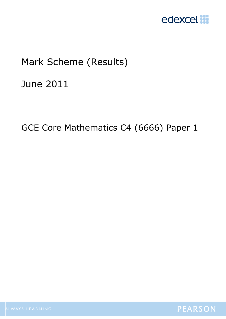

# Mark Scheme (Results)

June 2011

GCE Core Mathematics C4 (6666) Paper 1

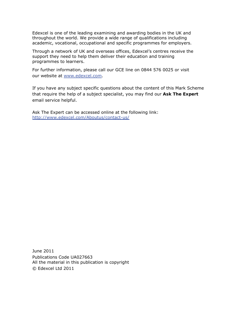Edexcel is one of the leading examining and awarding bodies in the UK and throughout the world. We provide a wide range of qualifications including academic, vocational, occupational and specific programmes for employers.

Through a network of UK and overseas offices, Edexcel's centres receive the support they need to help them deliver their education and training programmes to learners.

For further information, please call our GCE line on 0844 576 0025 or visit our website at www.edexcel.com.

If you have any subject specific questions about the content of this Mark Scheme that require the help of a subject specialist, you may find our **Ask The Expert** email service helpful.

Ask The Expert can be accessed online at the following link: http://www.edexcel.com/Aboutus/contact-us/

June 2011 Publications Code UA027663 All the material in this publication is copyright © Edexcel Ltd 2011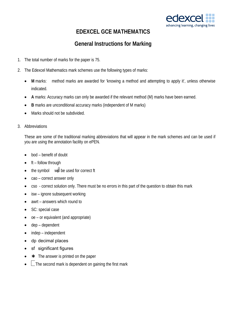

### **EDEXCEL GCE MATHEMATICS**

### **General Instructions for Marking**

- 1. The total number of marks for the paper is 75.
- 2. The Edexcel Mathematics mark schemes use the following types of marks:
	- M marks: method marks are awarded for 'knowing a method and attempting to apply it', unless otherwise indicated.
	- **A** marks: Accuracy marks can only be awarded if the relevant method (M) marks have been earned.
	- **B** marks are unconditional accuracy marks (independent of M marks)
	- Marks should not be subdivided.
- 3. Abbreviations

These are some of the traditional marking abbreviations that will appear in the mark schemes and can be used if you are using the annotation facility on ePEN.

- bod benefit of doubt
- ft follow through
- the symbol will be used for correct ft
- cao correct answer only
- cso correct solution only. There must be no errors in this part of the question to obtain this mark
- isw ignore subsequent working
- awrt answers which round to
- SC: special case
- oe or equivalent (and appropriate)
- dep dependent
- indep independent
- dp decimal places
- sf significant figures
- $\star$  The answer is printed on the paper
- $\Box$  The second mark is dependent on gaining the first mark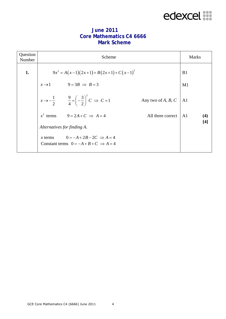# edexcel :::

| Question<br>Number | Scheme                      |                                                                                             | <b>Marks</b>         |                |       |
|--------------------|-----------------------------|---------------------------------------------------------------------------------------------|----------------------|----------------|-------|
| 1.                 |                             | $9x^{2} = A(x-1)(2x+1) + B(2x+1) + C(x-1)^{2}$                                              |                      | B <sub>1</sub> |       |
|                    | $x \rightarrow 1$           | $9 = 3B \implies B = 3$                                                                     |                      | M1             |       |
|                    |                             | $x \to -\frac{1}{2}$ $\qquad \frac{9}{4} = \left(-\frac{3}{2}\right)^2 C \Rightarrow C = 1$ | Any two of $A, B, C$ | A <sub>1</sub> |       |
|                    | $x^2$ terms                 | $9 = 2A + C \Rightarrow A = 4$                                                              | All three correct    | A <sub>1</sub> | (4)   |
|                    | Alternatives for finding A. |                                                                                             |                      |                | $[4]$ |
|                    | $\chi$ terms                | $0 = -A + 2B - 2C \Rightarrow A = 4$<br>Constant terms $0 = -A + B + C \implies A = 4$      |                      |                |       |

#### **June 2011 Core Mathematics C4 6666 Mark Scheme**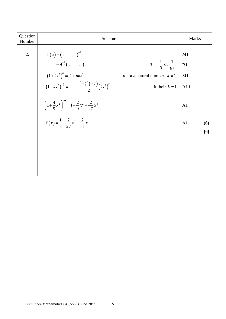| Question<br>Number | Scheme                                                                                                                                                                                                                                                                                                                                                                                                                                                                    | <b>Marks</b>                                                              |
|--------------------|---------------------------------------------------------------------------------------------------------------------------------------------------------------------------------------------------------------------------------------------------------------------------------------------------------------------------------------------------------------------------------------------------------------------------------------------------------------------------|---------------------------------------------------------------------------|
| 2.                 | $f(x) = (x + )^{-\frac{1}{2}}$<br>$3^{-1}$ , $\frac{1}{3}$ or $\frac{1}{9^{\frac{1}{2}}}$<br>$=9^{-\frac{1}{2}}$ (  + ) <sup>"</sup><br>$(1+ kx^2)^n = 1 + nkx^2 + $<br>$(1+ kx^2)^{-\frac{1}{2}} =  + \frac{(-\frac{1}{2})(-\frac{3}{2})}{2}(kx^2)^2$<br><i>n</i> not a natural number, $k \neq 1$<br>ft their $k \neq 1$<br>$\left(1+\frac{4}{9}x^2\right)^{-\frac{1}{2}}=1-\frac{2}{9}x^2+\frac{2}{27}x^4$<br>$f(x) = \frac{1}{3} - \frac{2}{27}x^2 + \frac{2}{81}x^4$ | M1<br>B1<br>M1<br>A1 ft<br>A <sub>1</sub><br>A <sub>1</sub><br>(6)<br>[6] |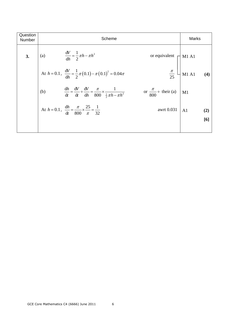| Question<br>Number | Scheme                                                                                                                                                         | Marks                 |
|--------------------|----------------------------------------------------------------------------------------------------------------------------------------------------------------|-----------------------|
| 3.                 | (a) $\frac{dV}{dh} = \frac{1}{2} \pi h - \pi h^2$<br>or equivalent $\left\lceil \right\rceil$ M1 A1                                                            |                       |
|                    | $rac{\pi}{25}$<br>At $h = 0.1$ , $\frac{dV}{dh} = \frac{1}{2}\pi (0.1) - \pi (0.1)^2 = 0.04\pi$                                                                | $M1$ A1<br>(4)        |
|                    | $\frac{dh}{dt} = \frac{dV}{dt} \div \frac{dV}{dh} = \frac{\pi}{800} \times \frac{1}{\frac{1}{2}\pi h - \pi h^2}$<br>or $\frac{\pi}{800}$ ÷ their (a) M1<br>(b) |                       |
|                    | At $h = 0.1$ , $\frac{dh}{dt} = \frac{\pi}{800} \times \frac{25}{\pi} = \frac{1}{32}$<br>awrt 0.031                                                            | A <sub>1</sub><br>(2) |
|                    |                                                                                                                                                                | [6]                   |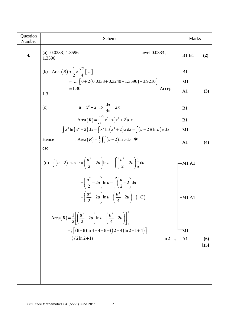| Question<br>Number | Scheme                                                                                                                                                                          | <b>Marks</b>   |               |
|--------------------|---------------------------------------------------------------------------------------------------------------------------------------------------------------------------------|----------------|---------------|
| 4.                 | (a) $0.0333, 1.3596$<br>awrt 0.0333,<br>1.3596                                                                                                                                  | <b>B1 B1</b>   | (2)           |
|                    | (b) Area $(R) \approx \frac{1}{2} \times \frac{\sqrt{2}}{4}$ ]                                                                                                                  | B1             |               |
|                    | $\approx \dots \left[ 0 + 2(0.0333 + 0.3240 + 1.3596) + 3.9210 \right]$                                                                                                         | M1             |               |
|                    | $\approx 1.30$<br>Accept<br>1.3                                                                                                                                                 | A <sub>1</sub> | (3)           |
|                    | $u = x^2 + 2 \implies \frac{du}{dx} = 2x$<br>(c)                                                                                                                                | B1             |               |
|                    | Area $(R) = \int_{0}^{\sqrt{2}} x^3 \ln(x^2 + 2) dx$                                                                                                                            | B1             |               |
|                    | $\int x^3 \ln (x^2 + 2) dx = \int x^2 \ln (x^2 + 2) x dx = \int (u - 2) (\ln u) \frac{1}{2} du$                                                                                 | M1             |               |
|                    | Area $(R) = \frac{1}{2} \int_{0}^{4} (u-2) \ln u \, du$ *<br>Hence                                                                                                              | A <sub>1</sub> | (4)           |
|                    | cso                                                                                                                                                                             |                |               |
|                    | (d) $\int (u-2) \ln u \, du = \left( \frac{u^2}{2} - 2u \right) \ln u - \left( \left( \frac{u^2}{2} - 2u \right) \frac{1}{u} \, du \right)$                                     | -M1 A1         |               |
|                    | $=\left(\frac{u^2}{2}-2u\right)\ln u-\int \left(\frac{u}{2}-2\right)du$<br>$=\left(\frac{u^2}{2}-2u\right)\ln u-\left(\frac{u^2}{4}-2u\right)$ (+C)<br>$\overline{\phantom{a}}$ | -M1 A1         |               |
|                    | Area $(R) = \frac{1}{2} \left  \left( \frac{u^2}{2} - 2u \right) \ln u - \left( \frac{u^2}{4} - 2u \right) \right _2^2$                                                         |                |               |
|                    | $=\frac{1}{2} \left[ (8-8) \ln 4 - 4 + 8 - ((2-4) \ln 2 - 1 + 4) \right]$                                                                                                       | M1             |               |
|                    | $=\frac{1}{2}(2 \ln 2 + 1)$<br>$\ln 2 + \frac{1}{2}$                                                                                                                            | A <sub>1</sub> | (6)<br>$[15]$ |
|                    |                                                                                                                                                                                 |                |               |
|                    |                                                                                                                                                                                 |                |               |
|                    |                                                                                                                                                                                 |                |               |
|                    |                                                                                                                                                                                 |                |               |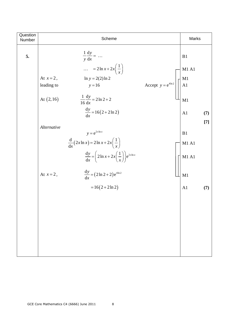| Question<br>Number |              | Scheme                                                                            |                                                                                | Marks                               |       |
|--------------------|--------------|-----------------------------------------------------------------------------------|--------------------------------------------------------------------------------|-------------------------------------|-------|
| 5.                 |              | $rac{1}{y} \frac{dy}{dx} = $<br>$\ldots = 2 \ln x + 2x \left(\frac{1}{x}\right)$  |                                                                                | B1<br>M <sub>1</sub> A <sub>1</sub> |       |
|                    | At $x=2$ ,   | $\ln y = 2(2) \ln 2$                                                              |                                                                                |                                     |       |
|                    | leading to   | $y = 16$                                                                          | Accept $y = e^{4\ln 2}$ $\left  \begin{array}{c} M1 \\ A1 \end{array} \right $ |                                     |       |
|                    | At $(2, 16)$ | $\frac{1}{16}\frac{dy}{dx} = 2\ln 2 + 2$<br>$\frac{dy}{dx} = 16(2 + 2\ln 2)$      |                                                                                | M1<br>A1                            | (7)   |
|                    |              |                                                                                   |                                                                                |                                     |       |
|                    | Alternative  | $y = e^{2x \ln x}$                                                                |                                                                                | B1                                  | $[7]$ |
|                    |              | $\frac{d}{dx}(2x \ln x) = 2 \ln x + 2x\left(\frac{1}{x}\right)$                   |                                                                                | M1 A1                               |       |
|                    |              | $\frac{dy}{dx} = \left(2 \ln x + 2x \left(\frac{1}{x}\right)\right) e^{2x \ln x}$ |                                                                                | M1 A1                               |       |
|                    | At $x=2$ ,   | $\frac{dy}{dx} = (2 \ln 2 + 2) e^{4 \ln 2}$                                       |                                                                                | M1                                  |       |
|                    |              | $=16(2+2\ln 2)$                                                                   |                                                                                | A <sub>1</sub>                      | (7)   |
|                    |              |                                                                                   |                                                                                |                                     |       |
|                    |              |                                                                                   |                                                                                |                                     |       |
|                    |              |                                                                                   |                                                                                |                                     |       |
|                    |              |                                                                                   |                                                                                |                                     |       |
|                    |              |                                                                                   |                                                                                |                                     |       |
|                    |              |                                                                                   |                                                                                |                                     |       |
|                    |              |                                                                                   |                                                                                |                                     |       |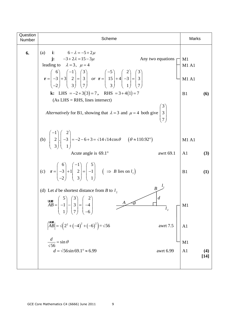| Question<br>Number | Scheme                                                                                                                                                                                                                                                                                                                                                                                                                                                                                                                                                    | <b>Marks</b>                          |  |
|--------------------|-----------------------------------------------------------------------------------------------------------------------------------------------------------------------------------------------------------------------------------------------------------------------------------------------------------------------------------------------------------------------------------------------------------------------------------------------------------------------------------------------------------------------------------------------------------|---------------------------------------|--|
| 6.                 | <b>i</b> : $6 - \lambda = -5 + 2\mu$<br>(a)<br><b>j:</b> $-3+2\lambda = 15-3\mu$<br>Any two equations<br>leading to $\lambda = 3$ , $\mu = 4$<br>$\mathbf{r} = \begin{pmatrix} 6 \\ -3 \\ 2 \end{pmatrix} + 3 \begin{pmatrix} -1 \\ 2 \\ 3 \end{pmatrix} = \begin{pmatrix} 3 \\ 3 \\ 7 \end{pmatrix}$ or $\mathbf{r} = \begin{pmatrix} -5 \\ 15 \\ 3 \end{pmatrix} + 4 \begin{pmatrix} 2 \\ -3 \\ 1 \end{pmatrix} = \begin{pmatrix} 3 \\ 3 \\ 7 \end{pmatrix}$<br><b>k:</b> LHS = $-2+3(3) = 7$ , RHS = $3+4(1) = 7$<br>$(As LHS = RHS, lines intersect)$ | M1<br>M1A1<br>M1A1<br>B1<br>(6)       |  |
|                    | Alternatively for B1, showing that $\lambda = 3$ and $\mu = 4$ both give $3$                                                                                                                                                                                                                                                                                                                                                                                                                                                                              |                                       |  |
|                    | (b) $\begin{bmatrix} -1 \\ 2 \\ 2 \end{bmatrix}$ $\begin{bmatrix} 2 \\ -3 \\ 1 \end{bmatrix}$ = -2-6+3= $\sqrt{14}\sqrt{14}\cos\theta$ ( $\theta \approx 110.92^{\circ}$ )<br>Acute angle is $69.1^{\circ}$<br>awrt 69.1                                                                                                                                                                                                                                                                                                                                  | M1A1<br>A <sub>1</sub><br>(3)         |  |
|                    | (c) $\mathbf{r} = \begin{pmatrix} 6 \\ -3 \\ 2 \end{pmatrix} + 1 \begin{pmatrix} -1 \\ 2 \\ 2 \end{pmatrix} = \begin{pmatrix} 5 \\ -1 \\ 1 \end{pmatrix}$ $\qquad \Rightarrow B \text{ lies on } l_1$                                                                                                                                                                                                                                                                                                                                                     | (1)<br>B1                             |  |
|                    | (d) Let <i>d</i> be shortest distance from <i>B</i> to $l_2$<br>$\overline{d}$<br>ulus $AB = \begin{pmatrix} 5 \\ -1 \\ 1 \end{pmatrix} - \begin{pmatrix} 3 \\ 3 \\ 7 \end{pmatrix} = \begin{pmatrix} 2 \\ -4 \\ -6 \end{pmatrix}$<br>$A \diagup \theta$<br>$\overline{l}_2$                                                                                                                                                                                                                                                                              | M <sub>1</sub>                        |  |
|                    | $\left  \stackrel{\text{ULUL}}{AB} \right  = \sqrt{2^2 + (-4)^2 + (-6)^2} = \sqrt{56}$<br>awrt 7.5                                                                                                                                                                                                                                                                                                                                                                                                                                                        | A <sub>1</sub>                        |  |
|                    | $\frac{d}{\sqrt{56}} = \sin \theta$<br>$d = \sqrt{56} \sin 69.1^{\circ} \approx 6.99$<br>awrt 6.99                                                                                                                                                                                                                                                                                                                                                                                                                                                        | M1<br>A <sub>1</sub><br>(4)<br>$[14]$ |  |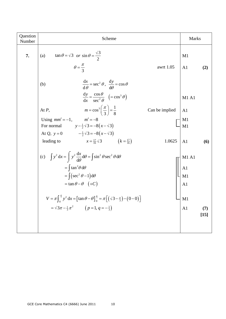| Question<br>Number | Scheme                                                                                                                                                                                                                                                                                                                                                                                                      |                | <b>Marks</b>                             |               |
|--------------------|-------------------------------------------------------------------------------------------------------------------------------------------------------------------------------------------------------------------------------------------------------------------------------------------------------------------------------------------------------------------------------------------------------------|----------------|------------------------------------------|---------------|
| 7.                 | $\tan \theta = \sqrt{3}$ or $\sin \theta = \frac{\sqrt{3}}{2}$<br>(a)<br>$\theta = \frac{\pi}{2}$                                                                                                                                                                                                                                                                                                           | awrt 1.05      | M1<br>A <sub>1</sub>                     | (2)           |
|                    | $\frac{dx}{d\theta} = \sec^2 \theta, \frac{dy}{d\theta} = \cos \theta$<br>(b)<br>$\frac{dy}{dx} = \frac{\cos \theta}{\sec^2 \theta} \quad (=\cos^3 \theta)$                                                                                                                                                                                                                                                 |                | M1 A1                                    |               |
|                    | $m = \cos^3\left(\frac{\pi}{3}\right) = \frac{1}{8}$<br>At $P$ ,                                                                                                                                                                                                                                                                                                                                            | Can be implied | A <sub>1</sub>                           |               |
|                    | Using $mm' = -1$ , $m' = -8$<br>$y - \frac{1}{2}\sqrt{3} = -8(x - \sqrt{3})$<br>For normal<br>At Q, $y = 0$ $-\frac{1}{2}\sqrt{3} = -8(x - \sqrt{3})$                                                                                                                                                                                                                                                       |                | M1<br>M1                                 |               |
|                    | $x = \frac{17}{16} \sqrt{3}$<br>$(k = \frac{17}{16})$<br>leading to                                                                                                                                                                                                                                                                                                                                         | 1.0625         | A <sub>1</sub>                           | (6)           |
|                    | (c) $\int y^2 dx = \int y^2 \frac{dx}{d\theta} d\theta = \int \sin^2 \theta \sec^2 \theta d\theta$<br>$=\int \tan^2\theta \, d\theta$<br>$= \int (sec^2 \theta - 1) d\theta$<br>$=$ tan $\theta - \theta$ $(+C)$<br>$V = \pi \int_{0}^{\frac{\pi}{3}} y^2 dx = \left[ \tan \theta - \theta \right]_{0}^{\frac{\pi}{3}} = \pi \left[ \left( \sqrt{3} - \frac{\pi}{3} \right) - \left( 0 - 0 \right) \right]$ |                | M1A1<br>A1<br>M1<br>A <sub>1</sub><br>M1 |               |
|                    | $= \sqrt{3\pi - \frac{1}{3}\pi^2}$ $(p=1, q=-\frac{1}{3})$                                                                                                                                                                                                                                                                                                                                                  |                | A <sub>1</sub>                           | (7)<br>$[15]$ |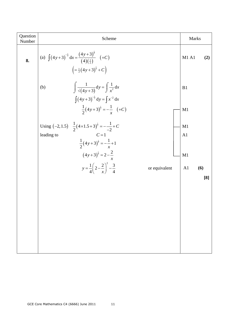| Question<br>Number | Scheme                                                                                                                                        | Marks                 |  |
|--------------------|-----------------------------------------------------------------------------------------------------------------------------------------------|-----------------------|--|
| 8.                 | (a) $\int (4y+3)^{-\frac{1}{2}} dx = \frac{(4y+3)^{\frac{1}{2}}}{(4)(\frac{1}{2})}$ (+C)<br>$\left(=\frac{1}{2}(4y+3)^{\frac{1}{2}}+C\right)$ | M1 A1<br>(2)          |  |
|                    | $\int \frac{1}{\sqrt{4y+3}} dy = \int \frac{1}{x^2} dx$<br>(b)<br>$\int (4y+3)^{-\frac{1}{2}} dy = \int x^{-2} dx$                            | B1                    |  |
|                    | $\frac{1}{2}(4y+3)^{\frac{1}{2}} = -\frac{1}{x}$ (+C)                                                                                         | M1                    |  |
|                    | Using $(-2, 1.5)$ $\frac{1}{2}(4 \times 1.5 + 3)^{\frac{1}{2}} = -\frac{1}{2} + C$<br>$C=1$<br>leading to                                     | M1<br>A <sub>1</sub>  |  |
|                    | $\frac{1}{2}(4y+3)^{\frac{1}{2}} = -\frac{1}{x} + 1$<br>$(4y+3)^{\frac{1}{2}} = 2 - \frac{2}{x}$                                              | M1                    |  |
|                    | $y = \frac{1}{4} \left( 2 - \frac{2}{x} \right)^2 - \frac{3}{4}$<br>or equivalent                                                             | A <sub>1</sub><br>(6) |  |
|                    |                                                                                                                                               | [8]                   |  |
|                    |                                                                                                                                               |                       |  |
|                    |                                                                                                                                               |                       |  |
|                    |                                                                                                                                               |                       |  |